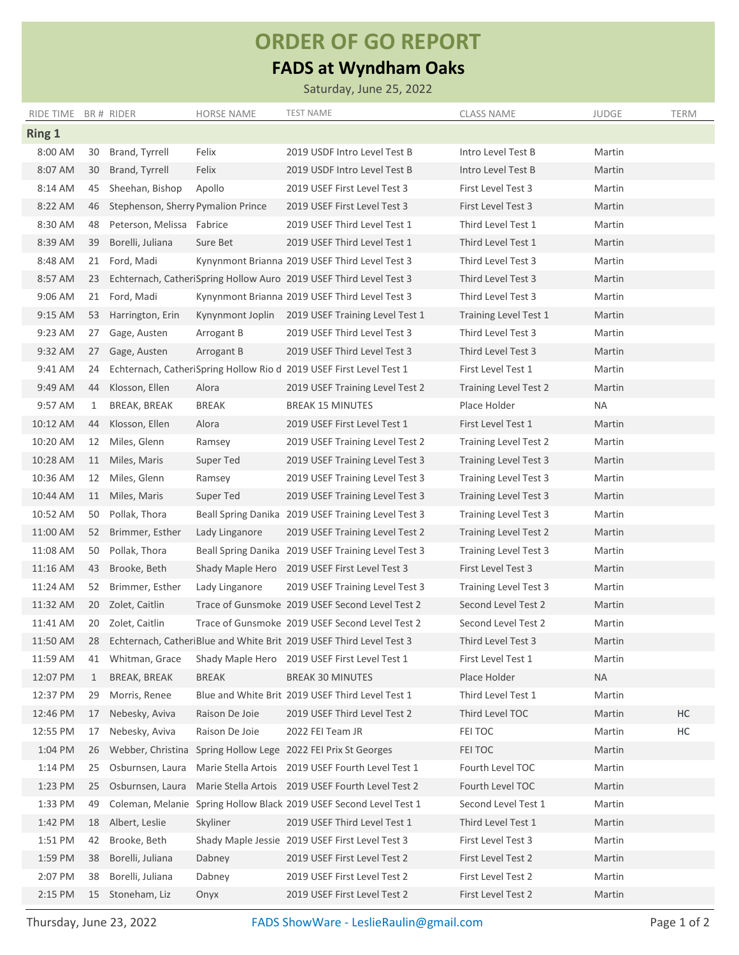## **ORDER OF GO REPORT**

## **FADS at Wyndham Oaks**

Saturday, June 25, 2022

| RIDE TIME BR # RIDER |              |                                    | <b>HORSE NAME</b> | <b>TEST NAME</b>                                                       | <b>CLASS NAME</b>            | <b>JUDGE</b> | <b>TERM</b> |
|----------------------|--------------|------------------------------------|-------------------|------------------------------------------------------------------------|------------------------------|--------------|-------------|
| <b>Ring 1</b>        |              |                                    |                   |                                                                        |                              |              |             |
| 8:00 AM              |              | 30 Brand, Tyrrell                  | Felix             | 2019 USDF Intro Level Test B                                           | Intro Level Test B           | Martin       |             |
| 8:07 AM              | 30           | Brand, Tyrrell                     | Felix             | 2019 USDF Intro Level Test B                                           | Intro Level Test B           | Martin       |             |
| 8:14 AM              | 45           | Sheehan, Bishop                    | Apollo            | 2019 USEF First Level Test 3                                           | First Level Test 3           | Martin       |             |
| 8:22 AM              | 46           | Stephenson, Sherry Pymalion Prince |                   | 2019 USEF First Level Test 3                                           | First Level Test 3           | Martin       |             |
| 8:30 AM              | 48           | Peterson, Melissa Fabrice          |                   | 2019 USEF Third Level Test 1                                           | Third Level Test 1           | Martin       |             |
| 8:39 AM              | 39           | Borelli, Juliana                   | Sure Bet          | 2019 USEF Third Level Test 1                                           | Third Level Test 1           | Martin       |             |
| 8:48 AM              |              | 21 Ford, Madi                      |                   | Kynynmont Brianna 2019 USEF Third Level Test 3                         | Third Level Test 3           | Martin       |             |
| 8:57 AM              |              |                                    |                   | 23 Echternach, CatheriSpring Hollow Auro 2019 USEF Third Level Test 3  | Third Level Test 3           | Martin       |             |
| 9:06 AM              |              | 21 Ford, Madi                      |                   | Kynynmont Brianna 2019 USEF Third Level Test 3                         | Third Level Test 3           | Martin       |             |
| 9:15 AM              | 53           | Harrington, Erin                   | Kynynmont Joplin  | 2019 USEF Training Level Test 1                                        | Training Level Test 1        | Martin       |             |
| 9:23 AM              | 27           | Gage, Austen                       | Arrogant B        | 2019 USEF Third Level Test 3                                           | Third Level Test 3           | Martin       |             |
| 9:32 AM              |              | 27 Gage, Austen                    | Arrogant B        | 2019 USEF Third Level Test 3                                           | Third Level Test 3           | Martin       |             |
| 9:41 AM              | 24           |                                    |                   | Echternach, CatheriSpring Hollow Rio d 2019 USEF First Level Test 1    | First Level Test 1           | Martin       |             |
| 9:49 AM              | 44           | Klosson, Ellen                     | Alora             | 2019 USEF Training Level Test 2                                        | <b>Training Level Test 2</b> | Martin       |             |
| 9:57 AM              | 1            | BREAK, BREAK                       | <b>BREAK</b>      | <b>BREAK 15 MINUTES</b>                                                | Place Holder                 | NA           |             |
| 10:12 AM             | 44           | Klosson, Ellen                     | Alora             | 2019 USEF First Level Test 1                                           | First Level Test 1           | Martin       |             |
| 10:20 AM             | 12           | Miles, Glenn                       | Ramsey            | 2019 USEF Training Level Test 2                                        | Training Level Test 2        | Martin       |             |
| 10:28 AM             | 11           | Miles, Maris                       | Super Ted         | 2019 USEF Training Level Test 3                                        | <b>Training Level Test 3</b> | Martin       |             |
| 10:36 AM             | 12           | Miles, Glenn                       | Ramsey            | 2019 USEF Training Level Test 3                                        | <b>Training Level Test 3</b> | Martin       |             |
| 10:44 AM             | 11           | Miles, Maris                       | Super Ted         | 2019 USEF Training Level Test 3                                        | <b>Training Level Test 3</b> | Martin       |             |
| 10:52 AM             |              | 50 Pollak, Thora                   |                   | Beall Spring Danika 2019 USEF Training Level Test 3                    | <b>Training Level Test 3</b> | Martin       |             |
| 11:00 AM             | 52           | Brimmer, Esther                    | Lady Linganore    | 2019 USEF Training Level Test 2                                        | <b>Training Level Test 2</b> | Martin       |             |
| 11:08 AM             |              | 50 Pollak, Thora                   |                   | Beall Spring Danika 2019 USEF Training Level Test 3                    | Training Level Test 3        | Martin       |             |
| 11:16 AM             | 43           | Brooke, Beth                       |                   | Shady Maple Hero 2019 USEF First Level Test 3                          | First Level Test 3           | Martin       |             |
| 11:24 AM             | 52           | Brimmer, Esther                    | Lady Linganore    | 2019 USEF Training Level Test 3                                        | <b>Training Level Test 3</b> | Martin       |             |
| 11:32 AM             | 20           | Zolet, Caitlin                     |                   | Trace of Gunsmoke 2019 USEF Second Level Test 2                        | Second Level Test 2          | Martin       |             |
| 11:41 AM             | 20           | Zolet, Caitlin                     |                   | Trace of Gunsmoke 2019 USEF Second Level Test 2                        | Second Level Test 2          | Martin       |             |
| 11:50 AM             |              |                                    |                   | 28 Echternach, CatheriBlue and White Brit 2019 USEF Third Level Test 3 | Third Level Test 3           | Martin       |             |
| 11:59 AM             |              | 41 Whitman, Grace                  |                   | Shady Maple Hero 2019 USEF First Level Test 1                          | First Level Test 1           | Martin       |             |
| 12:07 PM             | $\mathbf{1}$ | <b>BREAK, BREAK</b>                | <b>BREAK</b>      | <b>BREAK 30 MINUTES</b>                                                | Place Holder                 | <b>NA</b>    |             |
| 12:37 PM             | 29           | Morris, Renee                      |                   | Blue and White Brit 2019 USEF Third Level Test 1                       | Third Level Test 1           | Martin       |             |
| 12:46 PM             | 17           | Nebesky, Aviva                     | Raison De Joie    | 2019 USEF Third Level Test 2                                           | Third Level TOC              | Martin       | HC          |
| 12:55 PM             | 17           | Nebesky, Aviva                     | Raison De Joie    | 2022 FEI Team JR                                                       | FEI TOC                      | Martin       | HC          |
| 1:04 PM              |              | 26 Webber, Christina               |                   | Spring Hollow Lege 2022 FEI Prix St Georges                            | FEI TOC                      | Martin       |             |
| 1:14 PM              |              | 25 Osburnsen, Laura                |                   | Marie Stella Artois 2019 USEF Fourth Level Test 1                      | Fourth Level TOC             | Martin       |             |
| 1:23 PM              | 25           | Osburnsen, Laura                   |                   | Marie Stella Artois 2019 USEF Fourth Level Test 2                      | Fourth Level TOC             | Martin       |             |
| 1:33 PM              | 49           | Coleman, Melanie                   |                   | Spring Hollow Black 2019 USEF Second Level Test 1                      | Second Level Test 1          | Martin       |             |
| 1:42 PM              |              | 18 Albert, Leslie                  | Skyliner          | 2019 USEF Third Level Test 1                                           | Third Level Test 1           | Martin       |             |
| 1:51 PM              | 42           | Brooke, Beth                       |                   | Shady Maple Jessie 2019 USEF First Level Test 3                        | First Level Test 3           | Martin       |             |
| 1:59 PM              | 38           | Borelli, Juliana                   | Dabney            | 2019 USEF First Level Test 2                                           | First Level Test 2           | Martin       |             |
| 2:07 PM              | 38           | Borelli, Juliana                   | Dabney            | 2019 USEF First Level Test 2                                           | First Level Test 2           | Martin       |             |
| 2:15 PM              |              | 15 Stoneham, Liz                   | Onyx              | 2019 USEF First Level Test 2                                           | First Level Test 2           | Martin       |             |